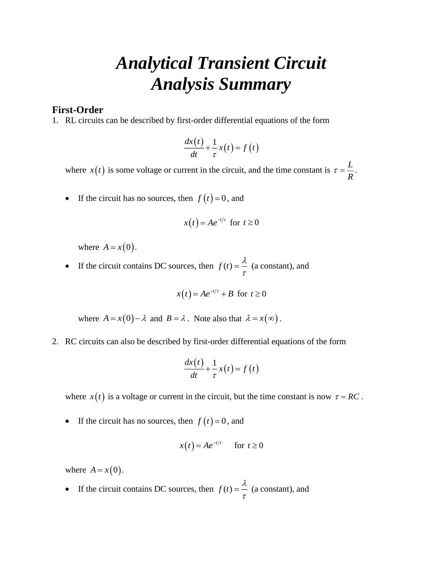## *Analytical Transient Circuit Analysis Summary*

## **First-Order**

1. RL circuits can be described by first-order differential equations of the form

$$
\frac{dx(t)}{dt} + \frac{1}{\tau}x(t) = f(t)
$$

where  $x(t)$  is some voltage or current in the circuit, and the time constant is  $\tau = \frac{L}{R}$  $\tau = \frac{B}{R}$ .

• If the circuit has no sources, then  $f(t) = 0$ , and

$$
x(t) = Ae^{-t/\tau} \text{ for } t \ge 0
$$

where  $A = x(0)$ .

• If the circuit contains DC sources, then  $f(t) = \frac{\lambda}{\tau}$  $=$   $\frac{\pi}{4}$  (a constant), and

$$
x(t) = Ae^{-t/\tau} + B \text{ for } t \ge 0
$$

where  $A = x(0) - \lambda$  and  $B = \lambda$ . Note also that  $\lambda = x(\infty)$ .

2. RC circuits can also be described by first-order differential equations of the form

$$
\frac{dx(t)}{dt} + \frac{1}{\tau}x(t) = f(t)
$$

where  $x(t)$  is a voltage or current in the circuit, but the time constant is now  $\tau = RC$ .

• If the circuit has no sources, then  $f(t) = 0$ , and

$$
x(t) = Ae^{-t/\tau} \quad \text{for } t \ge 0
$$

where  $A = x(0)$ .

• If the circuit contains DC sources, then  $f(t) = \frac{\lambda}{\tau}$  $=$   $\frac{\pi}{4}$  (a constant), and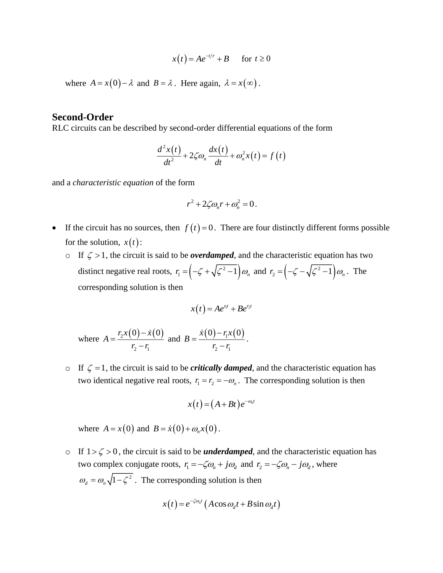$$
x(t) = Ae^{-t/\tau} + B \quad \text{for } t \ge 0
$$

where  $A = x(0) - \lambda$  and  $B = \lambda$ . Here again,  $\lambda = x(\infty)$ .

## **Second-Order**

RLC circuits can be described by second-order differential equations of the form

$$
\frac{d^2x(t)}{dt^2} + 2\zeta\omega_n\frac{dx(t)}{dt} + \omega_n^2x(t) = f(t)
$$

and a *characteristic equation* of the form

$$
r^2 + 2\zeta \omega_n r + \omega_n^2 = 0.
$$

- If the circuit has no sources, then  $f(t) = 0$ . There are four distinctly different forms possible for the solution,  $x(t)$ :
	- o If  $\zeta > 1$ , the circuit is said to be *overdamped*, and the characteristic equation has two distinct negative real roots,  $r_1 = \left(-\zeta + \sqrt{\zeta^2 - 1}\right) d$  $r_1 = \left(-\zeta + \sqrt{\zeta^2 - 1}\right)\omega_n$  and  $r_2 = \left(-\zeta - \sqrt{\zeta^2 - 1}\right)\omega_n$  $r_2 = \left(-\zeta - \sqrt{\zeta^2 - 1}\right)\omega_n$ . The corresponding solution is then

$$
x(t) = Ae^{r_1t} + Be^{r_2t}
$$

where 
$$
A = \frac{r_2 x(0) - \dot{x}(0)}{r_2 - r_1}
$$
 and  $B = \frac{\dot{x}(0) - r_1 x(0)}{r_2 - r_1}$ .

o If  $\zeta = 1$ , the circuit is said to be *critically damped*, and the characteristic equation has two identical negative real roots,  $r_1 = r_2 = -\omega_n$ . The corresponding solution is then

$$
x(t) = (A+Bt)e^{-\omega_n t}
$$

where  $A = x(0)$  and  $B = \dot{x}(0) + \omega_n x(0)$ .

o If  $1 > \zeta > 0$ , the circuit is said to be *underdamped*, and the characteristic equation has two complex conjugate roots,  $r_1 = -\zeta \omega_n + j\omega_d$  and  $r_2 = -\zeta \omega_n - j\omega_d$ , where  $\omega_{d} = \omega_{n} \sqrt{1 - \zeta^{2}}$ . The corresponding solution is then

$$
x(t) = e^{-\zeta \omega_n t} \left( A \cos \omega_d t + B \sin \omega_d t \right)
$$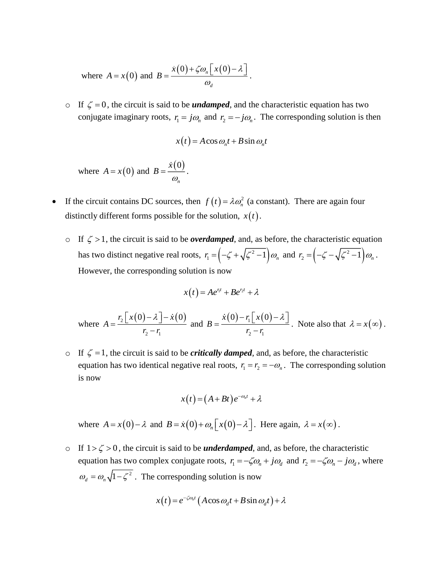where 
$$
A = x(0)
$$
 and  $B = \frac{\dot{x}(0) + \zeta \omega_n [x(0) - \lambda]}{\omega_d}$ .

o If  $\zeta = 0$ , the circuit is said to be *undamped*, and the characteristic equation has two conjugate imaginary roots,  $r_1 = j\omega_n$  and  $r_2 = -j\omega_n$ . The corresponding solution is then

$$
x(t) = A\cos\omega_n t + B\sin\omega_n t
$$

where  $A = x(0)$  and  $B = \frac{\dot{x}(0)}{x}$ *n x*  $B=\frac{\pi(\sigma)}{\omega}.$ 

- If the circuit contains DC sources, then  $f(t) = \lambda \omega_n^2$  $f(t) = \lambda \omega_n^2$  (a constant). There are again four distinctly different forms possible for the solution,  $x(t)$ .
	- o If  $\zeta > 1$ , the circuit is said to be *overdamped*, and, as before, the characteristic equation has two distinct negative real roots,  $r_1 = \left(-\zeta + \sqrt{\zeta^2 - 1}\right) d$  $r_1 = \left(-\zeta + \sqrt{\zeta^2 - 1}\right)\omega_n$  and  $r_2 = \left(-\zeta - \sqrt{\zeta^2 - 1}\right)\omega$  $r_2 = \left(-\zeta - \sqrt{\zeta^2 - 1}\right)\omega_n$ . However, the corresponding solution is now

$$
x(t) = Ae^{r_1t} + Be^{r_2t} + \lambda
$$

where 
$$
A = \frac{r_2 \left[ x(0) - \lambda \right] - \dot{x}(0)}{r_2 - r_1}
$$
 and  $B = \frac{\dot{x}(0) - r_1 \left[ x(0) - \lambda \right]}{r_2 - r_1}$ . Note also that  $\lambda = x(\infty)$ .

o If  $\zeta = 1$ , the circuit is said to be *critically damped*, and, as before, the characteristic equation has two identical negative real roots,  $r_1 = r_2 = -\omega_n$ . The corresponding solution is now

$$
x(t) = (A+Bt)e^{-\omega_n t} + \lambda
$$

where  $A = x(0) - \lambda$  and  $B = \dot{x}(0) + \omega_n [x(0) - \lambda]$ . Here again,  $\lambda = x(\infty)$ .

o If  $1 > \zeta > 0$ , the circuit is said to be *underdamped*, and, as before, the characteristic equation has two complex conjugate roots,  $r_1 = -\zeta \omega_n + j\omega_d$  and  $r_2 = -\zeta \omega_n - j\omega_d$ , where  $\omega_d = \omega_n \sqrt{1 - \zeta^2}$ . The corresponding solution is now

$$
x(t) = e^{-\zeta \omega_n t} \left( A \cos \omega_d t + B \sin \omega_d t \right) + \lambda
$$